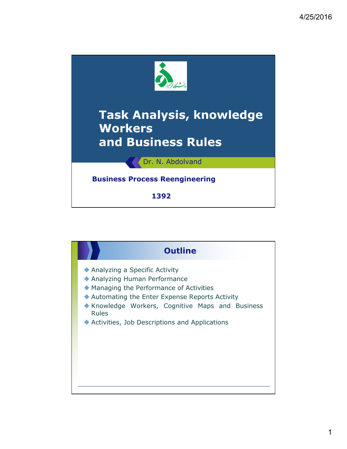

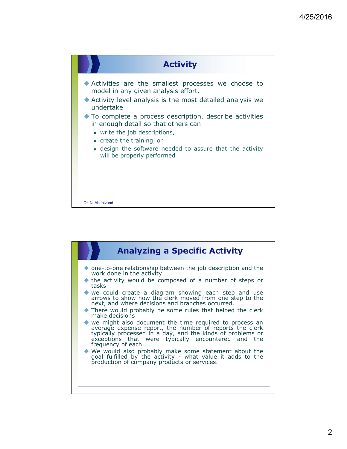

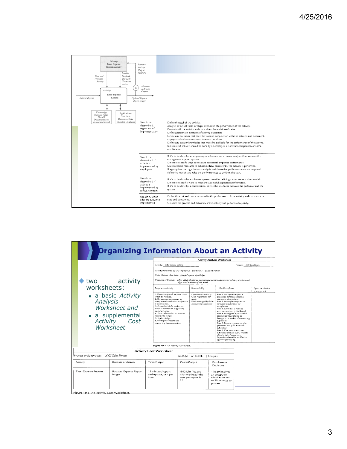

|  |                                          | <b>Drganizing Information About an Activity</b>                                   |      |                                                                                                                                                                                                                                                                                                                                                                                  |              |                                                                                                                        |           |                                                                                                                                                                                                                                                                                                                                                                                                                                                                                                                                                                        |                                    |                                  |
|--|------------------------------------------|-----------------------------------------------------------------------------------|------|----------------------------------------------------------------------------------------------------------------------------------------------------------------------------------------------------------------------------------------------------------------------------------------------------------------------------------------------------------------------------------|--------------|------------------------------------------------------------------------------------------------------------------------|-----------|------------------------------------------------------------------------------------------------------------------------------------------------------------------------------------------------------------------------------------------------------------------------------------------------------------------------------------------------------------------------------------------------------------------------------------------------------------------------------------------------------------------------------------------------------------------------|------------------------------------|----------------------------------|
|  |                                          |                                                                                   |      | <b>Activity Analysis Worksheet</b>                                                                                                                                                                                                                                                                                                                                               |              |                                                                                                                        |           |                                                                                                                                                                                                                                                                                                                                                                                                                                                                                                                                                                        |                                    |                                  |
|  |                                          |                                                                                   |      | Activity: Enter Expense Reports<br>Process: XYZ Sales Process                                                                                                                                                                                                                                                                                                                    |              |                                                                                                                        |           |                                                                                                                                                                                                                                                                                                                                                                                                                                                                                                                                                                        |                                    |                                  |
|  |                                          |                                                                                   |      | Activity Performed by (v ) employee, ( ) software, ( ) a combination                                                                                                                                                                                                                                                                                                             |              |                                                                                                                        |           |                                                                                                                                                                                                                                                                                                                                                                                                                                                                                                                                                                        |                                    |                                  |
|  |                                          |                                                                                   |      | Major Output of Activity: Updated expense report ledger                                                                                                                                                                                                                                                                                                                          |              |                                                                                                                        |           |                                                                                                                                                                                                                                                                                                                                                                                                                                                                                                                                                                        |                                    |                                  |
|  | two activity                             |                                                                                   |      | Measures of Output: Ledger reflects all reported expenses documented in expense reports filed by sales personnel.<br>Ledger closed at the end of each month.                                                                                                                                                                                                                     |              |                                                                                                                        |           |                                                                                                                                                                                                                                                                                                                                                                                                                                                                                                                                                                        |                                    |                                  |
|  | worksheets:                              |                                                                                   |      | Steps in the Activity                                                                                                                                                                                                                                                                                                                                                            |              | Responsibility                                                                                                         |           | Decisions/Rules                                                                                                                                                                                                                                                                                                                                                                                                                                                                                                                                                        |                                    | Opportunities for<br>Improvement |
|  | Analysis<br>m.                           | a basic Activity<br>Worksheet and<br>a supplemental<br>Activity Cost<br>Worksheet |      | 1. Date-stamp each expense report<br>when it's received.<br>2. Review expense reports for<br>completeness and accuracy (return<br>if incomplete).<br>3. Cross-check information on<br>expense report with supporting<br>documentation.<br>4. Enter information on expense<br>report into ledger.<br>5. Update ledger.<br>6. File expense report and<br>supporting documentation. |              | <b>Expense Report Entry</b><br>Clerk responsible for<br>work.<br>Work managed by Sales<br><b>Accounting Supervisor</b> |           | Rule 1. No expense report is<br>processed before supporting<br>documentation arrives.<br>Rule 2. Incomplete reports are<br>rerouted to submitter for<br>completion.<br>Rule 3. Submitter is notified<br>whenever an item is disallowed.<br>Rule 4. Any sign of a purposeful<br>attempt at fraud should be<br>supervisor.<br>Rule 5. Expense reports must be<br>processed and paid in month<br>submitted.<br>Rule 6. If expense reports are<br>submitted that are over 3 months<br>old, the Sales Accounting<br>Supervisor should be notified to<br>approve processing. | brought to attention of accounting |                                  |
|  |                                          |                                                                                   |      | Figure 10.2 An Activity Worksheet.                                                                                                                                                                                                                                                                                                                                               |              |                                                                                                                        |           |                                                                                                                                                                                                                                                                                                                                                                                                                                                                                                                                                                        |                                    |                                  |
|  |                                          |                                                                                   |      | <b>Activity Cost Worksheet</b>                                                                                                                                                                                                                                                                                                                                                   |              |                                                                                                                        |           |                                                                                                                                                                                                                                                                                                                                                                                                                                                                                                                                                                        |                                    |                                  |
|  | Process or Subprocess: XYZ Sales Process |                                                                                   |      |                                                                                                                                                                                                                                                                                                                                                                                  |              | AS-IS (√) or TO BE () Analysis                                                                                         |           |                                                                                                                                                                                                                                                                                                                                                                                                                                                                                                                                                                        |                                    |                                  |
|  | Activity                                 | Outputs of Activity                                                               |      | Time/Output                                                                                                                                                                                                                                                                                                                                                                      | Costs/Output |                                                                                                                        | Decisions | Problems or                                                                                                                                                                                                                                                                                                                                                                                                                                                                                                                                                            |                                    |                                  |
|  | <b>Enter Expense Reports</b>             | Updated Expense Report<br>Ledger                                                  | hour | 15 minutes/report<br>and update, or 4 per<br>\$6.                                                                                                                                                                                                                                                                                                                                |              | @\$24/hr (loaded<br>with overhead) the<br>cost per report is<br>process.                                               |           | 1 in 20 involves<br>an exception.<br>which takes up<br>to 30 minutes to                                                                                                                                                                                                                                                                                                                                                                                                                                                                                                |                                    |                                  |
|  | Figure 10.3 An Activity Cost Worksheet   |                                                                                   |      |                                                                                                                                                                                                                                                                                                                                                                                  |              |                                                                                                                        |           |                                                                                                                                                                                                                                                                                                                                                                                                                                                                                                                                                                        |                                    |                                  |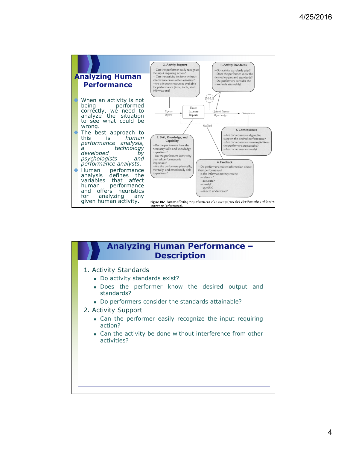

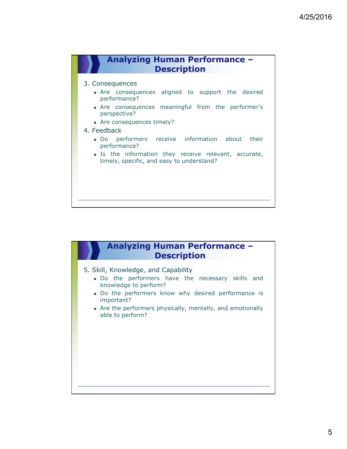

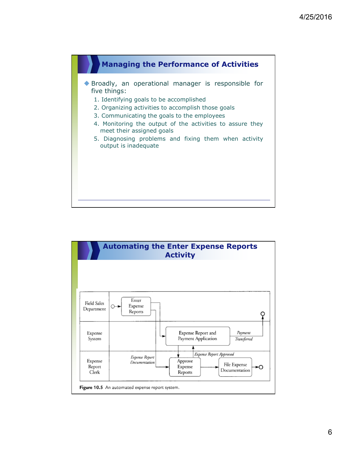

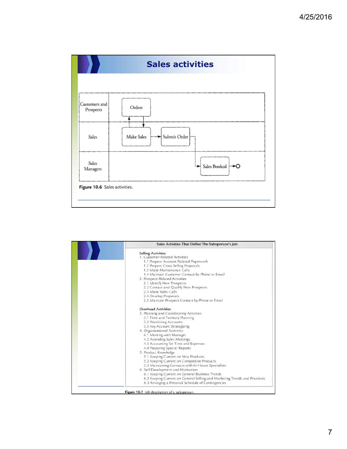

| Sales Activities That Define The Salesperson's Job                        |  |  |  |  |  |
|---------------------------------------------------------------------------|--|--|--|--|--|
| <b>Selling Activities</b>                                                 |  |  |  |  |  |
| 1. Customer-Related Activities                                            |  |  |  |  |  |
| 1.1 Prepare Account Related Paperwork                                     |  |  |  |  |  |
| 1.2 Prepare Cross Selling Proposals                                       |  |  |  |  |  |
| 1.3 Make Maintenance Calls                                                |  |  |  |  |  |
| 1.4 Maintain Customer Contact by Phone or Email                           |  |  |  |  |  |
| 2. Prospect-Related Activities                                            |  |  |  |  |  |
| 2.1 Identify New Prospects                                                |  |  |  |  |  |
| 2.2 Contact and Qualify New Prospects                                     |  |  |  |  |  |
| 2.3 Make Sales Calls                                                      |  |  |  |  |  |
| 2.4 Develop Proposals                                                     |  |  |  |  |  |
| 2.5 Maintain Prospect Contact by Phone or Email                           |  |  |  |  |  |
| <b>Overhead Activities</b>                                                |  |  |  |  |  |
| 3. Planning and Coordinating Activities                                   |  |  |  |  |  |
| 3.1 Time and Territory Planning                                           |  |  |  |  |  |
| 3.2 Prioritizing Accounts                                                 |  |  |  |  |  |
| 3.3 Key Account Strategizing                                              |  |  |  |  |  |
| 4. Organizational Activities                                              |  |  |  |  |  |
| 4.1 Meeting with Manager                                                  |  |  |  |  |  |
| 4.2 Attending Sales Meetings                                              |  |  |  |  |  |
| 4.3 Accounting for Time and Expenses                                      |  |  |  |  |  |
| 4.4 Preparing Special Reports                                             |  |  |  |  |  |
| 5. Product Knowledge                                                      |  |  |  |  |  |
| 5.1 Keeping Current on New Products                                       |  |  |  |  |  |
| 5.2 Keeping Current on Competitive Products                               |  |  |  |  |  |
| 5.3 Maintaining Contacts with In-House Specialists                        |  |  |  |  |  |
| 6. Self-Development and Motivation                                        |  |  |  |  |  |
| 6.1 Keeping Current on General Business Trends                            |  |  |  |  |  |
| 6.2 Keeping Current on General Selling and Marketing Trends and Practices |  |  |  |  |  |
| 6.3 Arranging a Personal Schedule of Contingencies                        |  |  |  |  |  |
|                                                                           |  |  |  |  |  |
| Figure 10.7 Job description of a salesperson.                             |  |  |  |  |  |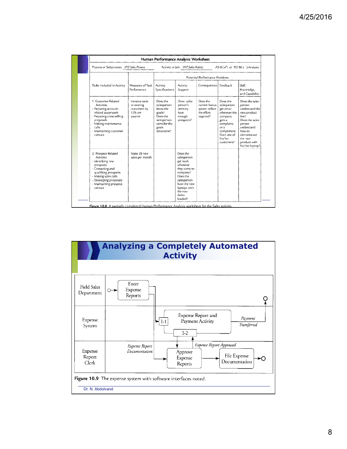| Process or Subprocess: XYZ Sales Process                                                                                                                                                                     | Activity or Job: XYZ Sales Activity<br>AS-IS $(\sqrt{})$ or TO BE ( ) Analysis |                                                                                                                  |                                                                                                                                                                       |                                                                        |                                                                                                                                                       |                                                                                                                                                                                       |
|--------------------------------------------------------------------------------------------------------------------------------------------------------------------------------------------------------------|--------------------------------------------------------------------------------|------------------------------------------------------------------------------------------------------------------|-----------------------------------------------------------------------------------------------------------------------------------------------------------------------|------------------------------------------------------------------------|-------------------------------------------------------------------------------------------------------------------------------------------------------|---------------------------------------------------------------------------------------------------------------------------------------------------------------------------------------|
|                                                                                                                                                                                                              | Potential Performance Problems                                                 |                                                                                                                  |                                                                                                                                                                       |                                                                        |                                                                                                                                                       |                                                                                                                                                                                       |
| Tasks Included in Activity                                                                                                                                                                                   | Measures of Task<br>Performance                                                | Activity<br>Specifications                                                                                       | Activity<br>Support                                                                                                                                                   | Consequences                                                           | Feedback                                                                                                                                              | Skill.<br>Knowledge.<br>and Capability                                                                                                                                                |
| 1. Customer-Related<br><b>Activities</b><br>- Preparing account-<br>related paperwork<br>- Preparing cross-selling<br>proposals<br>- Making maintenance<br>calls<br>- Maintaining customer<br>contact        | Increase sales<br>to existing<br>customers by<br>12% per<br>quarter            | Does the<br>salesperson<br>know the<br>goals?<br>Does the<br>salesperson<br>consider the<br>goals<br>attainable? | Does sales-<br>person's<br>territory<br>have<br>enough<br>prospects?                                                                                                  | Does the<br>current bonus<br>system reflect<br>the effort<br>required? | Does the<br>salesperson<br>get email<br>whenever the<br>company<br>gets a<br>complaint,<br>or a<br>compliment<br>from one of<br>his/her<br>customers? | Does the sales-<br>person<br>understand the<br>new product<br>line?<br>Does the sales-<br>person<br>understand<br>how to<br>demonstrate<br>the new<br>product with<br>his/her laptop? |
| 2. Prospect-Related<br><b>Actvities</b><br>- Identifying new<br>prospects<br>- Contacting and<br>qualifying prospects<br>- Making sales calls<br>- Developing proposals<br>- Maintaining prospect<br>contact | Make 20 new<br>sales per month.                                                |                                                                                                                  | Does the<br>salesperson<br>get leads<br>whenever<br>they come to<br>company?<br>Does the<br>salesperson<br>have the new<br>laptops with<br>the new<br>demo<br>loaded? |                                                                        |                                                                                                                                                       |                                                                                                                                                                                       |

Figure 10.8 A partially completed Human Performance Analysis worksheet for the Sales activity

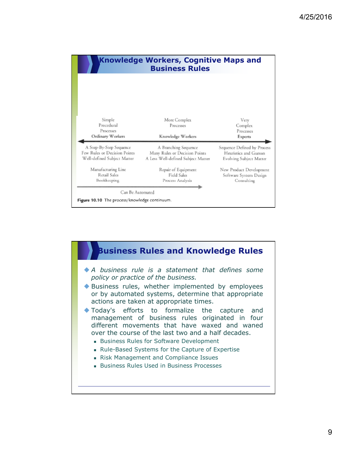| <b>Knowledge Workers, Cognitive Maps and</b><br><b>Business Rules</b> |                                    |                                |  |  |  |  |
|-----------------------------------------------------------------------|------------------------------------|--------------------------------|--|--|--|--|
| Simple                                                                | More Complex                       | Very                           |  |  |  |  |
| Procedural                                                            | Processes                          | Complex                        |  |  |  |  |
| Processes<br>Ordinary Workers                                         | Knowledge Workers                  | Processes<br>Experts           |  |  |  |  |
| A Step-By-Step Sequence                                               | A Branching Sequence               | Sequence Defined by Process    |  |  |  |  |
| Few Rules or Decision Points                                          | Many Rules or Decision Points      | Heuristics and Guesses         |  |  |  |  |
| Well-defined Subject Matter                                           | A Less Well-defined Subject Matter | <b>Evolving Subject Matter</b> |  |  |  |  |
| Manufacturing Line                                                    | Repair of Equipment                | New Product Development        |  |  |  |  |
| Retail Sales                                                          | Field Sales                        | Software System Design         |  |  |  |  |
| Bookkeeping                                                           | Process Analysis                   | Consulting                     |  |  |  |  |
| Can Be Automated                                                      |                                    |                                |  |  |  |  |

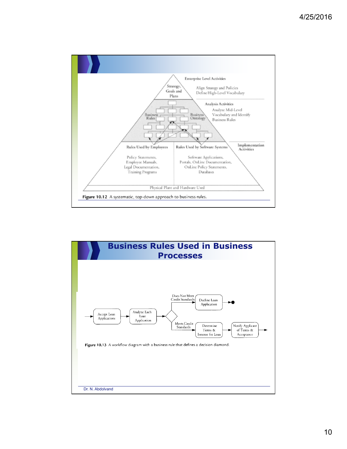

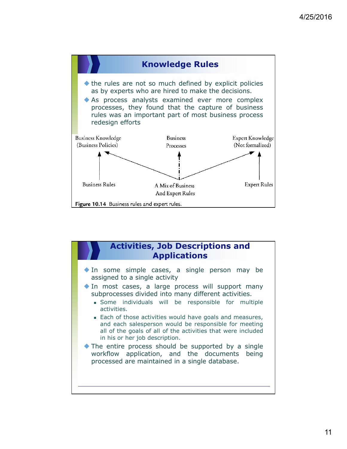